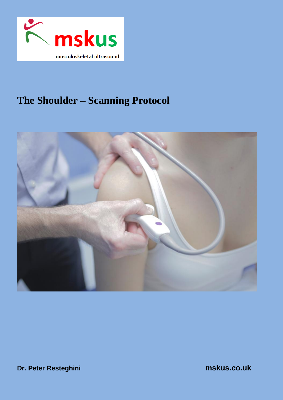

# **The Shoulder – Scanning Protocol**



**Dr. Peter Resteghini mskus.co.uk**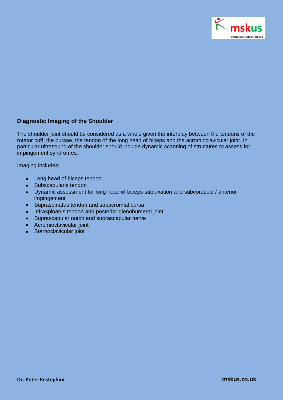

## **Diagnostic Imaging of the Shoulder**

The shoulder joint should be considered as a whole given the interplay between the tendons of the rotator cuff, the bursae, the tendon of the long head of biceps and the acromioclavicular joint. In particular ultrasound of the shoulder should include dynamic scanning of structures to assess for impingement syndromes.

Imaging includes:

- Long head of biceps tendon
- Subscapularis tendon
- Dynamic assessment for long head of biceps subluxation and subcoracoid / anterior impingement
- Supraspinatus tendon and subacromial bursa
- Infraspinatus tendon and posterior glenohumeral joint
- Suprascapular notch and suprascapular nerve
- Acromioclavicular joint
- Sternoclavicular joint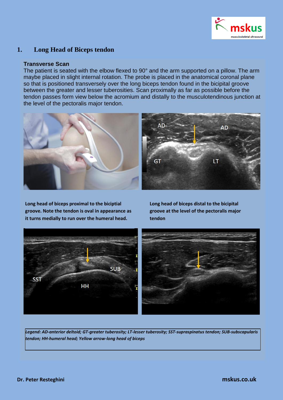

# **1. Long Head of Biceps tendon**

#### **Transverse Scan**

The patient is seated with the elbow flexed to 90° and the arm supported on a pillow. The arm maybe placed in slight internal rotation. The probe is placed in the anatomical coronal plane so that is positioned transversely over the long biceps tendon found in the bicipital groove between the greater and lesser tuberosities. Scan proximally as far as possible before the tendon passes form view below the acromium and distally to the musculotendinous junction at the level of the pectoralis major tendon.



**Long head of biceps proximal to the biciptial groove. Note the tendon is oval in appearance as it turns medially to run over the humeral head.**

**Long head of biceps distal to the bicipital groove at the level of the pectoralis major tendon**



*Legend: AD-anterior deltoid; GT-greater tuberosity; LT-lesser tuberosity; SST-supraspinatus tendon; SUB-subscapularis tendon; HH-humeral head; Yellow arrow-long head of biceps*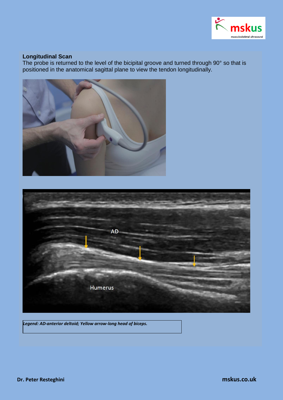

## **Longitudinal Scan**

The probe is returned to the level of the bicipital groove and turned through 90° so that is positioned in the anatomical sagittal plane to view the tendon longitudinally.





*Legend: AD-anterior deltoid; Yellow arrow-long head of biceps.*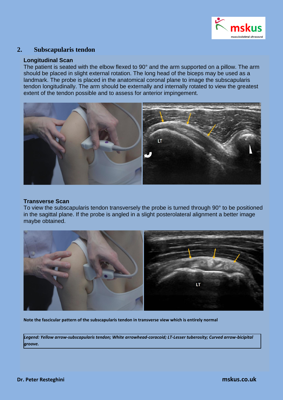

## **2. Subscapularis tendon**

#### **Longitudinal Scan**

The patient is seated with the elbow flexed to 90° and the arm supported on a pillow. The arm should be placed in slight external rotation. The long head of the biceps may be used as a landmark. The probe is placed in the anatomical coronal plane to image the subscapularis tendon longitudinally. The arm should be externally and internally rotated to view the greatest extent of the tendon possible and to assess for anterior impingement.



#### **Transverse Scan**

To view the subscapularis tendon transversely the probe is turned through 90° to be positioned in the sagittal plane. If the probe is angled in a slight posterolateral alignment a better image maybe obtained.



**Note the fascicular pattern of the subscapularis tendon in transverse view which is entirely normal**

*Legend: Yellow arrow-subscapularis tendon; White arrowhead-coracoid; LT-Lesser tuberosity; Curved arrow-bicipital groove.*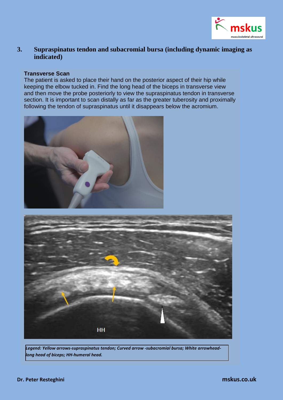

# **3. Supraspinatus tendon and subacromial bursa (including dynamic imaging as indicated)**

#### **Transverse Scan**

The patient is asked to place their hand on the posterior aspect of their hip while keeping the elbow tucked in. Find the long head of the biceps in transverse view and then move the probe posteriorly to view the supraspinatus tendon in transverse section. It is important to scan distally as far as the greater tuberosity and proximally following the tendon of supraspinatus until it disappears below the acromium.





*Legend: Yellow arrows-supraspinatus tendon; Curved arrow -subacromial bursa; White arrowheadlong head of biceps; HH-humeral head.*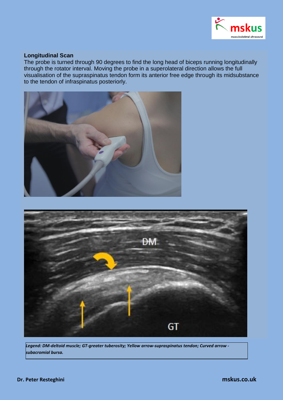

## **Longitudinal Scan**

The probe is turned through 90 degrees to find the long head of biceps running longitudinally through the rotator interval. Moving the probe in a superolateral direction allows the full visualisation of the supraspinatus tendon form its anterior free edge through its midsubstance to the tendon of infraspinatus posteriorly.





*Legend: DM-deltoid muscle; GT-greater tuberosity; Yellow arrow-supraspinatus tendon; Curved arrow subacromial bursa.*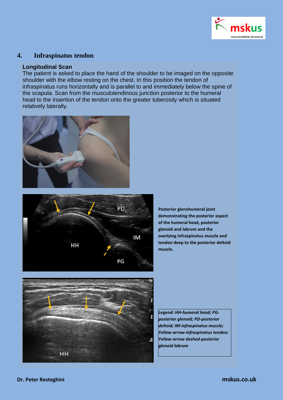

## **4. Infraspinatus tendon**

## **Longitudinal Scan**

The patient is asked to place the hand of the shoulder to be imaged on the opposite shoulder with the elbow resting on the chest. In this position the tendon of infraspinatus runs horizontally and is parallel to and immediately below the spine of the scapula. Scan from the musculotendinous junction posterior to the humeral head to the insertion of the tendon onto the greater tuberosity which is situated relatively laterally.





**Posterior glenohumeral joint demonstrating the posterior aspect of the humeral head, posterior glenoid and labrum and the overlying infraspinatus muscle and tendon deep to the posterior deltoid muscle.**



*Legend: HH-humeral head; PGposterior glenoid; PD-posterior deltoid; IM-infraspinatus muscle; Yellow arrow-infraspinatus tendon; Yellow arrow dashed-posterior glenoid labrum*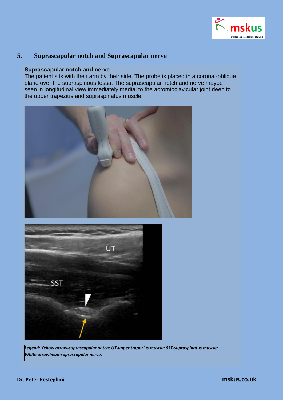

# **5. Suprascapular notch and Suprascapular nerve**

#### **Suprascapular notch and nerve**

The patient sits with their arm by their side. The probe is placed in a coronal-oblique plane over the supraspinous fossa. The suprascapular notch and nerve maybe seen in longitudinal view immediately medial to the acromioclavicular joint deep to the upper trapezius and supraspinatus muscle.





*Legend: Yellow arrow-suprascapular notch; UT-upper trapezius muscle; SST-supraspinatus muscle; White arrowhead-suprascapular nerve.*